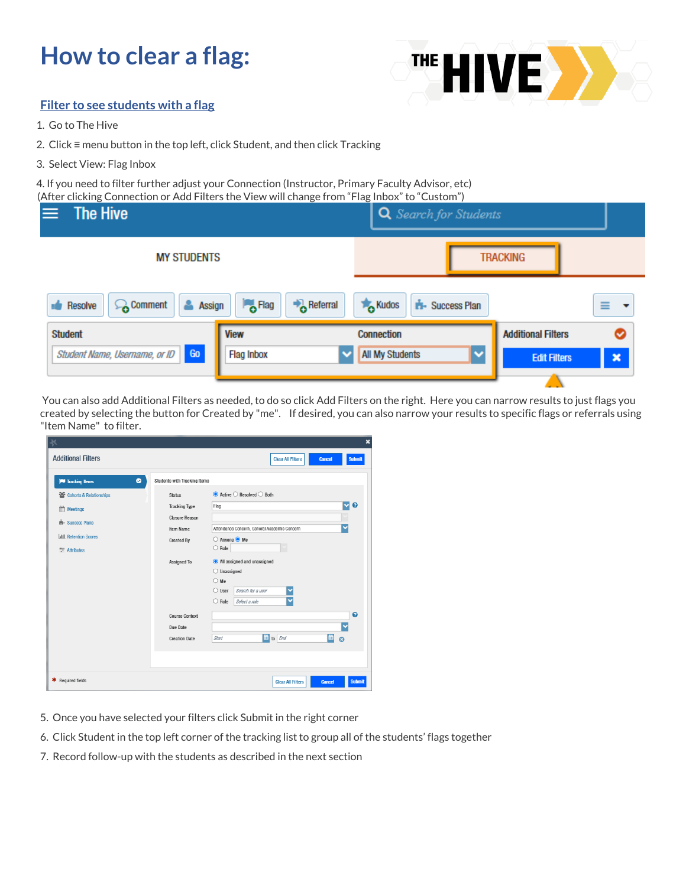## **How to clear a flag:**



## **Filter to see students with a flag**

- 1. Go to The Hive
- 2. Click ≡ menu button in the top left, click Student, and then click Tracking
- 3. Select View: Flag Inbox

4. If you need to filter further adjust your Connection (Instructor, Primary Faculty Advisor, etc) (After clicking Connection or Add Filters the View will change from "Flag Inbox" to "Custom")

| The Hive                                 | , accremently connection or , tag military the view will enally from thus indox to reaston f | Q Search for Students                             |                                                  |
|------------------------------------------|----------------------------------------------------------------------------------------------|---------------------------------------------------|--------------------------------------------------|
| <b>MY STUDENTS</b>                       |                                                                                              | <b>TRACKING</b>                                   |                                                  |
| <b>Comment</b><br>Assign<br>Resolve<br>츠 | $\bigtriangledown$ Referral<br><b>Flag</b>                                                   | <b>To</b> Kudos<br><b>Success Plan</b><br>ń.      | ≡<br>$\cdot$                                     |
| <b>Student</b>                           | <b>View</b>                                                                                  | <b>Connection</b>                                 | <b>Additional Filters</b><br>◎                   |
| Go<br>Student Name, Username, or ID      | <b>Flag Inbox</b>                                                                            | <b>All My Students</b><br>$\overline{\mathbf{v}}$ | $\boldsymbol{\mathsf{x}}$<br><b>Edit Filters</b> |
|                                          |                                                                                              |                                                   |                                                  |

You can also add Additional Filters as needed, to do so click Add Filters on the right. Here you can narrow results to just flags you created by selecting the button for Created by "me". If desired, you can also narrow your results to specific flags or referrals using "Item Name" to filter.

| K                            |                                    | ×                                                           |
|------------------------------|------------------------------------|-------------------------------------------------------------|
| <b>Additional Filters</b>    |                                    | <b>Clear All Filters</b><br><b>Submit</b><br><b>Cancel</b>  |
| ۰<br><b>E</b> Tracking Items | Students with Tracking Items       |                                                             |
| Cohorts & Relationships      | <b>Status</b>                      | $\odot$ Active $\odot$ Resolved $\odot$ Both                |
| <b>Meetings</b>              | <b>Tracking Type</b>               | M<br>$\boldsymbol{\Theta}$<br>Flag                          |
| <b>ri-</b> Success Plans     | <b>Closure Reason</b><br>Item Name | Y<br>Attendance Concern, General Academic Concern           |
| <b>Juli</b> Retention Scores | <b>Created By</b>                  | ○ Anyone ● Me                                               |
| 三 Attributes                 |                                    | $\bigcirc$ Role                                             |
|                              | Assigned To                        | All assigned and unassigned                                 |
|                              |                                    | $\bigcirc$ Unassigned<br>$\bigcirc$ Me                      |
|                              |                                    | Search for a user<br>$\bigcirc$ User<br>×                   |
|                              |                                    | $\overline{\textbf{v}}$<br>$\bigcirc$ Role<br>Select a role |
|                              | <b>Course Context</b>              | 0                                                           |
|                              | Due Date                           |                                                             |
|                              | <b>Creation Date</b>               | ■<br>to <i>End</i><br>Start<br>$\bullet$                    |
|                              |                                    |                                                             |
|                              |                                    |                                                             |
| * Required fields            |                                    | <b>Submit</b><br><b>Clear All Filters</b><br><b>Cancel</b>  |

- 5. Once you have selected your filters click Submit in the right corner
- 6. Click Student in the top left corner of the tracking list to group all of the students' flags together
- 7. Record follow-up with the students as described in the next section